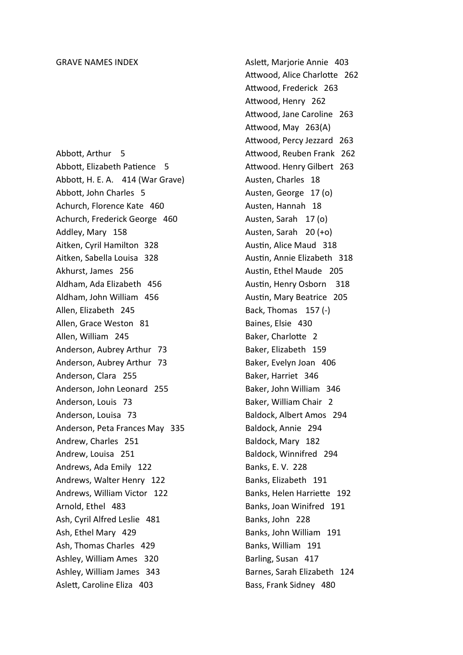Abbott, Arthur 5 Abbott, Elizabeth Patience 5 AbboƩ, H. E. A. 414 (War Grave) AbboƩ, John Charles 5 Achurch, Florence Kate 460 Achurch, Frederick George 460 Addley, Mary 158 Aitken, Cyril Hamilton 328 Aitken, Sabella Louisa 328 Akhurst, James 256 Aldham, Ada Elizabeth 456 Aldham, John William 456 Allen, Elizabeth 245 Allen, Grace Weston 81 Allen, William 245 Anderson, Aubrey Arthur 73 Anderson, Aubrey Arthur 73 Anderson, Clara 255 Anderson, John Leonard 255 Anderson, Louis 73 Anderson, Louisa 73 Anderson, Peta Frances May 335 Andrew, Charles 251 Andrew, Louisa 251 Andrews, Ada Emily 122 Andrews, Walter Henry 122 Andrews, William Victor 122 Arnold, Ethel 483 Ash, Cyril Alfred Leslie 481 Ash, Ethel Mary 429 Ash, Thomas Charles 429 Ashley, William Ames 320 Ashley, William James 343 Aslett, Caroline Eliza 403

AsleƩ, Marjorie Annie 403 Attwood, Alice Charlotte 262 Attwood, Frederick 263 Attwood, Henry 262 Attwood, Jane Caroline 263 Attwood, May 263(A) Attwood, Percy Jezzard 263 Attwood, Reuben Frank 262 Attwood. Henry Gilbert 263 Austen, Charles 18 Austen, George 17 (o) Austen, Hannah 18 Austen, Sarah 17 (o) Austen, Sarah 20 (+o) Austin, Alice Maud 318 Austin, Annie Elizabeth 318 Austin, Ethel Maude 205 Austin, Henry Osborn 318 Austin, Mary Beatrice 205 Back, Thomas 157 (-) Baines, Elsie 430 Baker, Charlotte 2 Baker, Elizabeth 159 Baker, Evelyn Joan 406 Baker, Harriet 346 Baker, John William 346 Baker, William Chair 2 Baldock, Albert Amos 294 Baldock, Annie 294 Baldock, Mary 182 Baldock, Winnifred 294 Banks, E. V. 228 Banks, Elizabeth 191 Banks, Helen Harriette 192 Banks, Joan Winifred 191 Banks, John 228 Banks, John William 191 Banks, William 191 Barling, Susan 417 Barnes, Sarah Elizabeth 124 Bass, Frank Sidney 480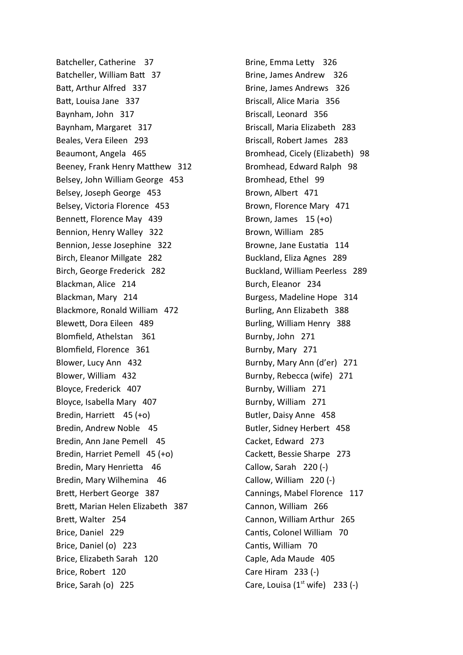Batcheller, Catherine 37 Batcheller, William Batt 37 BaƩ, Arthur Alfred 337 Batt, Louisa Jane 337 Baynham, John 317 Baynham, Margaret 317 Beales, Vera Eileen 293 Beaumont, Angela 465 Beeney, Frank Henry Matthew 312 Belsey, John William George 453 Belsey, Joseph George 453 Belsey, Victoria Florence 453 Bennett, Florence May 439 Bennion, Henry Walley 322 Bennion, Jesse Josephine 322 Birch, Eleanor Millgate 282 Birch, George Frederick 282 Blackman, Alice 214 Blackman, Mary 214 Blackmore, Ronald William 472 BleweƩ, Dora Eileen 489 Blomfield, Athelstan 361 Blomfield, Florence 361 Blower, Lucy Ann 432 Blower, William 432 Bloyce, Frederick 407 Bloyce, Isabella Mary 407 Bredin, Harriett 45 (+o) Bredin, Andrew Noble 45 Bredin, Ann Jane Pemell 45 Bredin, Harriet Pemell 45 (+o) Bredin, Mary Henrietta 46 Bredin, Mary Wilhemina 46 BreƩ, Herbert George 387 Brett, Marian Helen Elizabeth 387 Brett, Walter 254 Brice, Daniel 229 Brice, Daniel (o) 223 Brice, Elizabeth Sarah 120 Brice, Robert 120 Brice, Sarah (o) 225

Brine, Emma Letty 326 Brine, James Andrew 326 Brine, James Andrews 326 Briscall, Alice Maria 356 Briscall, Leonard 356 Briscall, Maria Elizabeth 283 Briscall, Robert James 283 Bromhead, Cicely (Elizabeth) 98 Bromhead, Edward Ralph 98 Bromhead, Ethel 99 Brown, Albert 471 Brown, Florence Mary 471 Brown, James 15 (+o) Brown, William 285 Browne, Jane Eustatia 114 Buckland, Eliza Agnes 289 Buckland, William Peerless 289 Burch, Eleanor 234 Burgess, Madeline Hope 314 Burling, Ann Elizabeth 388 Burling, William Henry 388 Burnby, John 271 Burnby, Mary 271 Burnby, Mary Ann (d'er) 271 Burnby, Rebecca (wife) 271 Burnby, William 271 Burnby, William 271 Butler, Daisy Anne 458 Butler, Sidney Herbert 458 Cacket, Edward 273 CackeƩ, Bessie Sharpe 273 Callow, Sarah 220 (-) Callow, William 220 (-) Cannings, Mabel Florence 117 Cannon, William 266 Cannon, William Arthur 265 Cantis, Colonel William 70 Cantis, William 70 Caple, Ada Maude 405 Care Hiram 233 (-) Care, Louisa  $(1<sup>st</sup>$  wife) 233  $(-)$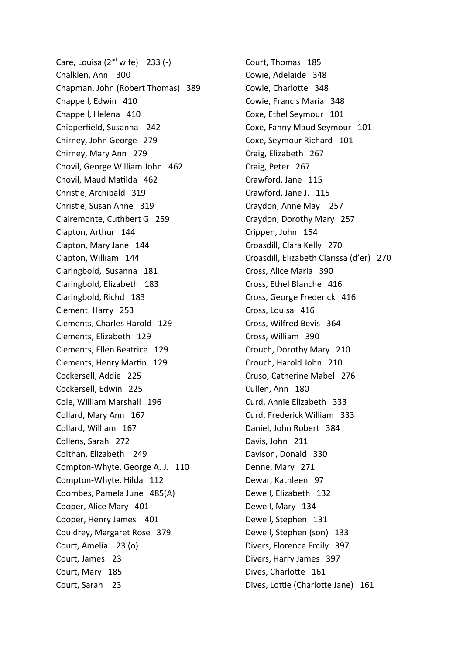Care, Louisa  $(2^{nd}$  wife) 233  $(-)$ Chalklen, Ann 300 Chapman, John (Robert Thomas) 389 Chappell, Edwin 410 Chappell, Helena 410 Chipperfield, Susanna 242 Chirney, John George 279 Chirney, Mary Ann 279 Chovil, George William John 462 Chovil, Maud Matilda 462 Christie, Archibald 319 Christie, Susan Anne 319 Clairemonte, Cuthbert G 259 Clapton, Arthur 144 Clapton, Mary Jane 144 Clapton, William 144 Claringbold, Susanna 181 Claringbold, Elizabeth 183 Claringbold, Richd 183 Clement, Harry 253 Clements, Charles Harold 129 Clements, Elizabeth 129 Clements, Ellen Beatrice 129 Clements, Henry Martin 129 Cockersell, Addie 225 Cockersell, Edwin 225 Cole, William Marshall 196 Collard, Mary Ann 167 Collard, William 167 Collens, Sarah 272 Colthan, Elizabeth 249 Compton-Whyte, George A. J. 110 Compton-Whyte, Hilda 112 Coombes, Pamela June 485(A) Cooper, Alice Mary 401 Cooper, Henry James 401 Couldrey, Margaret Rose 379 Court, Amelia 23 (o) Court, James 23 Court, Mary 185 Court, Sarah 23

Court, Thomas 185 Cowie, Adelaide 348 Cowie, Charlotte 348 Cowie, Francis Maria 348 Coxe, Ethel Seymour 101 Coxe, Fanny Maud Seymour 101 Coxe, Seymour Richard 101 Craig, Elizabeth 267 Craig, Peter 267 Crawford, Jane 115 Crawford, Jane J. 115 Craydon, Anne May 257 Craydon, Dorothy Mary 257 Crippen, John 154 Croasdill, Clara Kelly 270 Croasdill, Elizabeth Clarissa (d'er) 270 Cross, Alice Maria 390 Cross, Ethel Blanche 416 Cross, George Frederick 416 Cross, Louisa 416 Cross, Wilfred Bevis 364 Cross, William 390 Crouch, Dorothy Mary 210 Crouch, Harold John 210 Cruso, Catherine Mabel 276 Cullen, Ann 180 Curd, Annie Elizabeth 333 Curd, Frederick William 333 Daniel, John Robert 384 Davis, John 211 Davison, Donald 330 Denne, Mary 271 Dewar, Kathleen 97 Dewell, Elizabeth 132 Dewell, Mary 134 Dewell, Stephen 131 Dewell, Stephen (son) 133 Divers, Florence Emily 397 Divers, Harry James 397 Dives, Charlotte 161 Dives, Lottie (Charlotte Jane) 161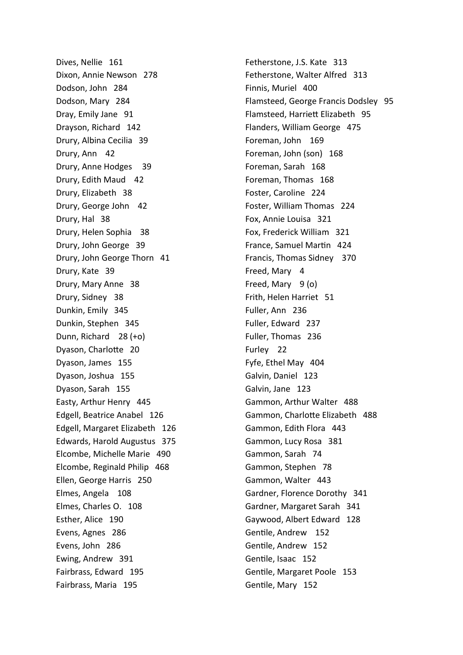Dives, Nellie 161 Dixon, Annie Newson 278 Dodson, John 284 Dodson, Mary 284 Dray, Emily Jane 91 Drayson, Richard 142 Drury, Albina Cecilia 39 Drury, Ann 42 Drury, Anne Hodges 39 Drury, Edith Maud 42 Drury, Elizabeth 38 Drury, George John 42 Drury, Hal 38 Drury, Helen Sophia 38 Drury, John George 39 Drury, John George Thorn 41 Drury, Kate 39 Drury, Mary Anne 38 Drury, Sidney 38 Dunkin, Emily 345 Dunkin, Stephen 345 Dunn, Richard 28 (+o) Dyason, Charlotte 20 Dyason, James 155 Dyason, Joshua 155 Dyason, Sarah 155 Easty, Arthur Henry 445 Edgell, Beatrice Anabel 126 Edgell, Margaret Elizabeth 126 Edwards, Harold Augustus 375 Elcombe, Michelle Marie 490 Elcombe, Reginald Philip 468 Ellen, George Harris 250 Elmes, Angela 108 Elmes, Charles O. 108 Esther, Alice 190 Evens, Agnes 286 Evens, John 286 Ewing, Andrew 391 Fairbrass, Edward 195 Fairbrass, Maria 195

Fetherstone, J.S. Kate 313 Fetherstone, Walter Alfred 313 Finnis, Muriel 400 Flamsteed, George Francis Dodsley 95 Flamsteed, HarrieƩ Elizabeth 95 Flanders, William George 475 Foreman, John 169 Foreman, John (son) 168 Foreman, Sarah 168 Foreman, Thomas 168 Foster, Caroline 224 Foster, William Thomas 224 Fox, Annie Louisa 321 Fox, Frederick William 321 France, Samuel Martin 424 Francis, Thomas Sidney 370 Freed, Mary 4 Freed, Mary 9 (o) Frith, Helen Harriet 51 Fuller, Ann 236 Fuller, Edward 237 Fuller, Thomas 236 Furley 22 Fyfe, Ethel May 404 Galvin, Daniel 123 Galvin, Jane 123 Gammon, Arthur Walter 488 Gammon, Charlotte Elizabeth 488 Gammon, Edith Flora 443 Gammon, Lucy Rosa 381 Gammon, Sarah 74 Gammon, Stephen 78 Gammon, Walter 443 Gardner, Florence Dorothy 341 Gardner, Margaret Sarah 341 Gaywood, Albert Edward 128 Gentile, Andrew 152 Gentile, Andrew 152 Gentile, Isaac 152 Gentile, Margaret Poole 153 Gentile, Mary 152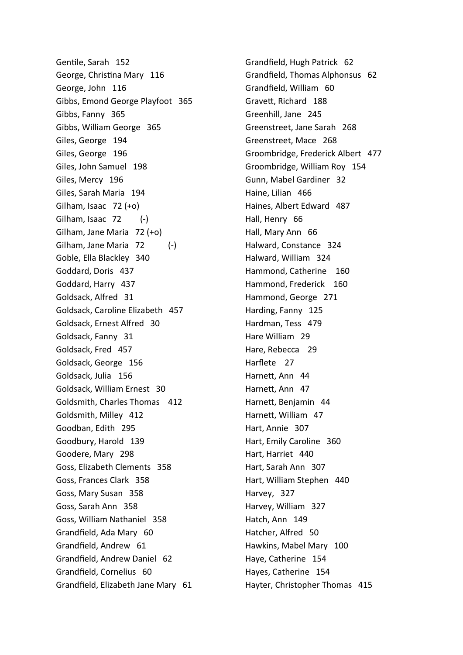Gentile, Sarah 152 George, Christina Mary 116 George, John 116 Gibbs, Emond George Playfoot 365 Gibbs, Fanny 365 Gibbs, William George 365 Giles, George 194 Giles, George 196 Giles, John Samuel 198 Giles, Mercy 196 Giles, Sarah Maria 194 Gilham, Isaac 72 (+o) Gilham, Isaac 72 (-) Gilham, Jane Maria 72 (+o) Gilham, Jane Maria 72 (-) Goble, Ella Blackley 340 Goddard, Doris 437 Goddard, Harry 437 Goldsack, Alfred 31 Goldsack, Caroline Elizabeth 457 Goldsack, Ernest Alfred 30 Goldsack, Fanny 31 Goldsack, Fred 457 Goldsack, George 156 Goldsack, Julia 156 Goldsack, William Ernest 30 Goldsmith, Charles Thomas 412 Goldsmith, Milley 412 Goodban, Edith 295 Goodbury, Harold 139 Goodere, Mary 298 Goss, Elizabeth Clements 358 Goss, Frances Clark 358 Goss, Mary Susan 358 Goss, Sarah Ann 358 Goss, William Nathaniel 358 Grandfield, Ada Mary 60 Grandfield, Andrew 61 Grandfield, Andrew Daniel 62 Grandfield, Cornelius 60 Grandfield, Elizabeth Jane Mary 61

Grandfield, Hugh Patrick 62 Grandfield, Thomas Alphonsus 62 Grandfield, William 60 GraveƩ, Richard 188 Greenhill, Jane 245 Greenstreet, Jane Sarah 268 Greenstreet, Mace 268 Groombridge, Frederick Albert 477 Groombridge, William Roy 154 Gunn, Mabel Gardiner 32 Haine, Lilian 466 Haines, Albert Edward 487 Hall, Henry 66 Hall, Mary Ann 66 Halward, Constance 324 Halward, William 324 Hammond, Catherine 160 Hammond, Frederick 160 Hammond, George 271 Harding, Fanny 125 Hardman, Tess 479 Hare William 29 Hare, Rebecca 29 Harflete 27 Harnett, Ann 44 Harnett, Ann 47 Harnett, Benjamin 44 Harnett, William 47 Hart, Annie 307 Hart, Emily Caroline 360 Hart, Harriet 440 Hart, Sarah Ann 307 Hart, William Stephen 440 Harvey, 327 Harvey, William 327 Hatch, Ann 149 Hatcher, Alfred 50 Hawkins, Mabel Mary 100 Haye, Catherine 154 Hayes, Catherine 154 Hayter, Christopher Thomas 415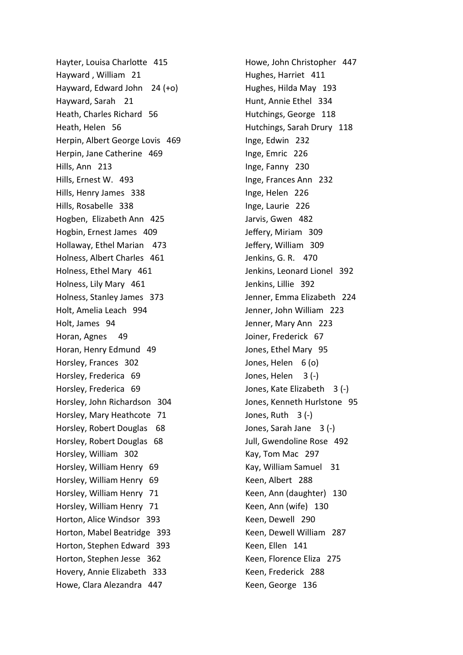Hayter, Louisa Charlotte 415 Hayward , William 21 Hayward, Edward John 24 (+o) Hayward, Sarah 21 Heath, Charles Richard 56 Heath, Helen 56 Herpin, Albert George Lovis 469 Herpin, Jane Catherine 469 Hills, Ann 213 Hills, Ernest W. 493 Hills, Henry James 338 Hills, Rosabelle 338 Hogben, Elizabeth Ann 425 Hogbin, Ernest James 409 Hollaway, Ethel Marian 473 Holness, Albert Charles 461 Holness, Ethel Mary 461 Holness, Lily Mary 461 Holness, Stanley James 373 Holt, Amelia Leach 994 Holt, James 94 Horan, Agnes 49 Horan, Henry Edmund 49 Horsley, Frances 302 Horsley, Frederica 69 Horsley, Frederica 69 Horsley, John Richardson 304 Horsley, Mary Heathcote 71 Horsley, Robert Douglas 68 Horsley, Robert Douglas 68 Horsley, William 302 Horsley, William Henry 69 Horsley, William Henry 69 Horsley, William Henry 71 Horsley, William Henry 71 Horton, Alice Windsor 393 Horton, Mabel Beatridge 393 Horton, Stephen Edward 393 Horton, Stephen Jesse 362 Hovery, Annie Elizabeth 333 Howe, Clara Alezandra 447

Howe, John Christopher 447 Hughes, Harriet 411 Hughes, Hilda May 193 Hunt, Annie Ethel 334 Hutchings, George 118 Hutchings, Sarah Drury 118 Inge, Edwin 232 Inge, Emric 226 Inge, Fanny 230 Inge, Frances Ann 232 Inge, Helen 226 Inge, Laurie 226 Jarvis, Gwen 482 Jeffery, Miriam 309 Jeffery, William 309 Jenkins, G. R. 470 Jenkins, Leonard Lionel 392 Jenkins, Lillie 392 Jenner, Emma Elizabeth 224 Jenner, John William 223 Jenner, Mary Ann 223 Joiner, Frederick 67 Jones, Ethel Mary 95 Jones, Helen 6 (o) Jones, Helen 3 (-) Jones, Kate Elizabeth 3 (-) Jones, Kenneth Hurlstone 95 Jones, Ruth  $3 (-)$ Jones, Sarah Jane 3 (-) Jull, Gwendoline Rose 492 Kay, Tom Mac 297 Kay, William Samuel 31 Keen, Albert 288 Keen, Ann (daughter) 130 Keen, Ann (wife) 130 Keen, Dewell 290 Keen, Dewell William 287 Keen, Ellen 141 Keen, Florence Eliza 275 Keen, Frederick 288 Keen, George 136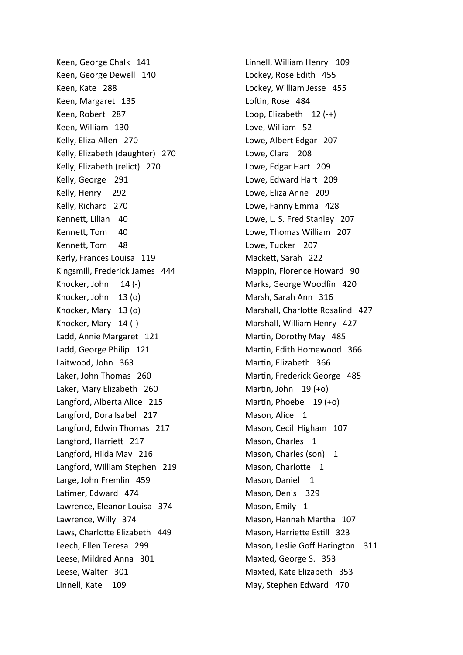Keen, George Chalk 141 Keen, George Dewell 140 Keen, Kate 288 Keen, Margaret 135 Keen, Robert 287 Keen, William 130 Kelly, Eliza-Allen 270 Kelly, Elizabeth (daughter) 270 Kelly, Elizabeth (relict) 270 Kelly, George 291 Kelly, Henry 292 Kelly, Richard 270 Kennett, Lilian 40 Kennett, Tom 40 Kennett, Tom 48 Kerly, Frances Louisa 119 Kingsmill, Frederick James 444 Knocker, John 14 (-) Knocker, John 13 (o) Knocker, Mary 13 (o) Knocker, Mary 14 (-) Ladd, Annie Margaret 121 Ladd, George Philip 121 Laitwood, John 363 Laker, John Thomas 260 Laker, Mary Elizabeth 260 Langford, Alberta Alice 215 Langford, Dora Isabel 217 Langford, Edwin Thomas 217 Langford, Harriett 217 Langford, Hilda May 216 Langford, William Stephen 219 Large, John Fremlin 459 Latimer, Edward 474 Lawrence, Eleanor Louisa 374 Lawrence, Willy 374 Laws, Charlotte Elizabeth 449 Leech, Ellen Teresa 299 Leese, Mildred Anna 301 Leese, Walter 301 Linnell, Kate 109

Linnell, William Henry 109 Lockey, Rose Edith 455 Lockey, William Jesse 455 Loftin, Rose 484 Loop, Elizabeth 12 (-+) Love, William 52 Lowe, Albert Edgar 207 Lowe, Clara 208 Lowe, Edgar Hart 209 Lowe, Edward Hart 209 Lowe, Eliza Anne 209 Lowe, Fanny Emma 428 Lowe, L. S. Fred Stanley 207 Lowe, Thomas William 207 Lowe, Tucker 207 MackeƩ, Sarah 222 Mappin, Florence Howard 90 Marks, George Woodfin 420 Marsh, Sarah Ann 316 Marshall, Charlotte Rosalind 427 Marshall, William Henry 427 Martin, Dorothy May 485 Martin, Edith Homewood 366 Martin, Elizabeth 366 Martin, Frederick George 485 Martin, John  $19 (+o)$ Martin, Phoebe 19 (+o) Mason, Alice 1 Mason, Cecil Higham 107 Mason, Charles 1 Mason, Charles (son) 1 Mason, Charlotte 1 Mason, Daniel 1 Mason, Denis 329 Mason, Emily 1 Mason, Hannah Martha 107 Mason, Harriette Estill 323 Mason, Leslie Goff Harington 311 Maxted, George S. 353 Maxted, Kate Elizabeth 353 May, Stephen Edward 470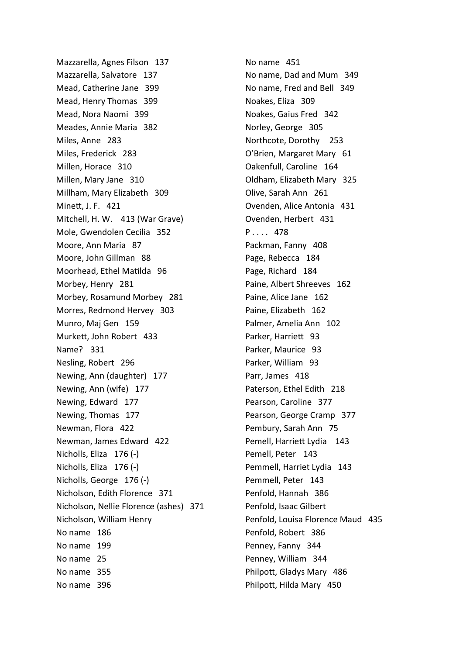Mazzarella, Agnes Filson 137 Mazzarella, Salvatore 137 Mead, Catherine Jane 399 Mead, Henry Thomas 399 Mead, Nora Naomi 399 Meades, Annie Maria 382 Miles, Anne 283 Miles, Frederick 283 Millen, Horace 310 Millen, Mary Jane 310 Millham, Mary Elizabeth 309 Minett, J. F. 421 Mitchell, H. W. 413 (War Grave) Mole, Gwendolen Cecilia 352 Moore, Ann Maria 87 Moore, John Gillman 88 Moorhead, Ethel Matilda 96 Morbey, Henry 281 Morbey, Rosamund Morbey 281 Morres, Redmond Hervey 303 Munro, Maj Gen 159 Murkett, John Robert 433 Name? 331 Nesling, Robert 296 Newing, Ann (daughter) 177 Newing, Ann (wife) 177 Newing, Edward 177 Newing, Thomas 177 Newman, Flora 422 Newman, James Edward 422 Nicholls, Eliza 176 (-) Nicholls, Eliza 176 (-) Nicholls, George 176 (-) Nicholson, Edith Florence 371 Nicholson, Nellie Florence (ashes) 371 Nicholson, William Henry No name 186 No name 199 No name 25 No name 355 No name 396

No name 451 No name, Dad and Mum 349 No name, Fred and Bell 349 Noakes, Eliza 309 Noakes, Gaius Fred 342 Norley, George 305 Northcote, Dorothy 253 O'Brien, Margaret Mary 61 Oakenfull, Caroline 164 Oldham, Elizabeth Mary 325 Olive, Sarah Ann 261 Ovenden, Alice Antonia 431 Ovenden, Herbert 431 P . . . . 478 Packman, Fanny 408 Page, Rebecca 184 Page, Richard 184 Paine, Albert Shreeves 162 Paine, Alice Jane 162 Paine, Elizabeth 162 Palmer, Amelia Ann 102 Parker, Harriett 93 Parker, Maurice 93 Parker, William 93 Parr, James 418 Paterson, Ethel Edith 218 Pearson, Caroline 377 Pearson, George Cramp 377 Pembury, Sarah Ann 75 Pemell, Harriett Lydia 143 Pemell, Peter 143 Pemmell, Harriet Lydia 143 Pemmell, Peter 143 Penfold, Hannah 386 Penfold, Isaac Gilbert Penfold, Louisa Florence Maud 435 Penfold, Robert 386 Penney, Fanny 344 Penney, William 344 Philpott, Gladys Mary 486 Philpott, Hilda Mary 450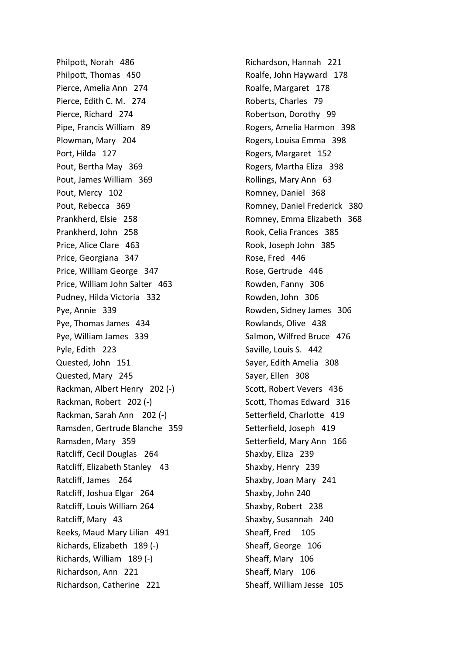Philpott, Norah 486 Philpott, Thomas 450 Pierce, Amelia Ann 274 Pierce, Edith C. M. 274 Pierce, Richard 274 Pipe, Francis William 89 Plowman, Mary 204 Port, Hilda 127 Pout, Bertha May 369 Pout, James William 369 Pout, Mercy 102 Pout, Rebecca 369 Prankherd, Elsie 258 Prankherd, John 258 Price, Alice Clare 463 Price, Georgiana 347 Price, William George 347 Price, William John Salter 463 Pudney, Hilda Victoria 332 Pye, Annie 339 Pye, Thomas James 434 Pye, William James 339 Pyle, Edith 223 Quested, John 151 Quested, Mary 245 Rackman, Albert Henry 202 (-) Rackman, Robert 202 (-) Rackman, Sarah Ann 202 (-) Ramsden, Gertrude Blanche 359 Ramsden, Mary 359 Ratcliff, Cecil Douglas 264 Ratcliff, Elizabeth Stanley 43 Ratcliff, James 264 Ratcliff, Joshua Elgar 264 Ratcliff, Louis William 264 Ratcliff, Mary 43 Reeks, Maud Mary Lilian 491 Richards, Elizabeth 189 (-) Richards, William 189 (-) Richardson, Ann 221 Richardson, Catherine 221

Richardson, Hannah 221 Roalfe, John Hayward 178 Roalfe, Margaret 178 Roberts, Charles 79 Robertson, Dorothy 99 Rogers, Amelia Harmon 398 Rogers, Louisa Emma 398 Rogers, Margaret 152 Rogers, Martha Eliza 398 Rollings, Mary Ann 63 Romney, Daniel 368 Romney, Daniel Frederick 380 Romney, Emma Elizabeth 368 Rook, Celia Frances 385 Rook, Joseph John 385 Rose, Fred 446 Rose, Gertrude 446 Rowden, Fanny 306 Rowden, John 306 Rowden, Sidney James 306 Rowlands, Olive 438 Salmon, Wilfred Bruce 476 Saville, Louis S. 442 Sayer, Edith Amelia 308 Sayer, Ellen 308 Scott, Robert Vevers 436 Scott, Thomas Edward 316 Setterfield, Charlotte 419 Setterfield, Joseph 419 Setterfield, Mary Ann 166 Shaxby, Eliza 239 Shaxby, Henry 239 Shaxby, Joan Mary 241 Shaxby, John 240 Shaxby, Robert 238 Shaxby, Susannah 240 Sheaff, Fred 105 Sheaff, George 106 Sheaff, Mary 106 Sheaff, Mary 106 Sheaff, William Jesse 105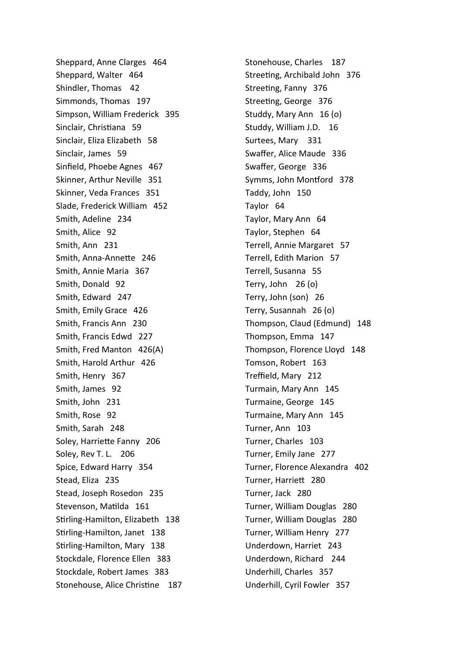Sheppard, Anne Clarges 464 Sheppard, Walter 464 Shindler, Thomas 42 Simmonds, Thomas 197 Simpson, William Frederick 395 Sinclair, Christiana 59 Sinclair, Eliza Elizabeth 58 Sinclair, James 59 Sinfield, Phoebe Agnes 467 Skinner, Arthur Neville 351 Skinner, Veda Frances 351 Slade, Frederick William 452 Smith, Adeline 234 Smith, Alice 92 Smith, Ann 231 Smith, Anna-Annette 246 Smith, Annie Maria 367 Smith, Donald 92 Smith, Edward 247 Smith, Emily Grace 426 Smith, Francis Ann 230 Smith, Francis Edwd 227 Smith, Fred Manton 426(A) Smith, Harold Arthur 426 Smith, Henry 367 Smith, James 92 Smith, John 231 Smith, Rose 92 Smith, Sarah 248 Soley, Harriette Fanny 206 Soley, Rev T. L. 206 Spice, Edward Harry 354 Stead, Eliza 235 Stead, Joseph Rosedon 235 Stevenson, Matilda 161 Stirling-Hamilton, Elizabeth 138 Stirling-Hamilton, Janet 138 Stirling-Hamilton, Mary 138 Stockdale, Florence Ellen 383 Stockdale, Robert James 383 Stonehouse, Alice Christine 187

Stonehouse, Charles 187 Streeting, Archibald John 376 Streeting, Fanny 376 Streeting, George 376 Studdy, Mary Ann 16 (o) Studdy, William J.D. 16 Surtees, Mary 331 Swaffer, Alice Maude 336 Swaffer, George 336 Symms, John Montford 378 Taddy, John 150 Taylor 64 Taylor, Mary Ann 64 Taylor, Stephen 64 Terrell, Annie Margaret 57 Terrell, Edith Marion 57 Terrell, Susanna 55 Terry, John 26 (o) Terry, John (son) 26 Terry, Susannah 26 (o) Thompson, Claud (Edmund) 148 Thompson, Emma 147 Thompson, Florence Lloyd 148 Tomson, Robert 163 Treffield, Mary 212 Turmain, Mary Ann 145 Turmaine, George 145 Turmaine, Mary Ann 145 Turner, Ann 103 Turner, Charles 103 Turner, Emily Jane 277 Turner, Florence Alexandra 402 Turner, HarrieƩ 280 Turner, Jack 280 Turner, William Douglas 280 Turner, William Douglas 280 Turner, William Henry 277 Underdown, Harriet 243 Underdown, Richard 244 Underhill, Charles 357 Underhill, Cyril Fowler 357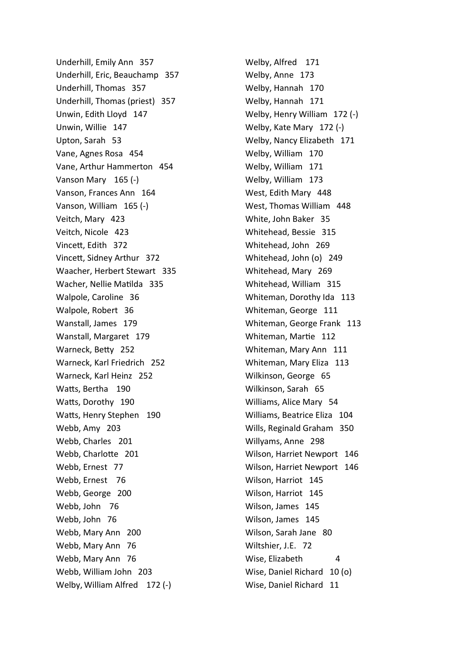Underhill, Emily Ann 357 Underhill, Eric, Beauchamp 357 Underhill, Thomas 357 Underhill, Thomas (priest) 357 Unwin, Edith Lloyd 147 Unwin, Willie 147 Upton, Sarah 53 Vane, Agnes Rosa 454 Vane, Arthur Hammerton 454 Vanson Mary 165 (-) Vanson, Frances Ann 164 Vanson, William 165 (-) Veitch, Mary 423 Veitch, Nicole 423 Vincett, Edith 372 VinceƩ, Sidney Arthur 372 Waacher, Herbert Stewart 335 Wacher, Nellie Matilda 335 Walpole, Caroline 36 Walpole, Robert 36 Wanstall, James 179 Wanstall, Margaret 179 Warneck, Betty 252 Warneck, Karl Friedrich 252 Warneck, Karl Heinz 252 Watts, Bertha 190 Watts, Dorothy 190 Watts, Henry Stephen 190 Webb, Amy 203 Webb, Charles 201 Webb, Charlotte 201 Webb, Ernest 77 Webb, Ernest 76 Webb, George 200 Webb, John 76 Webb, John 76 Webb, Mary Ann 200 Webb, Mary Ann 76 Webb, Mary Ann 76 Webb, William John 203 Welby, William Alfred 172 (-)

Welby, Alfred 171 Welby, Anne 173 Welby, Hannah 170 Welby, Hannah 171 Welby, Henry William 172 (-) Welby, Kate Mary 172 (-) Welby, Nancy Elizabeth 171 Welby, William 170 Welby, William 171 Welby, William 173 West, Edith Mary 448 West, Thomas William 448 White, John Baker 35 Whitehead, Bessie 315 Whitehead, John 269 Whitehead, John (o) 249 Whitehead, Mary 269 Whitehead, William 315 Whiteman, Dorothy Ida 113 Whiteman, George 111 Whiteman, George Frank 113 Whiteman, Martie 112 Whiteman, Mary Ann 111 Whiteman, Mary Eliza 113 Wilkinson, George 65 Wilkinson, Sarah 65 Williams, Alice Mary 54 Williams, Beatrice Eliza 104 Wills, Reginald Graham 350 Willyams, Anne 298 Wilson, Harriet Newport 146 Wilson, Harriet Newport 146 Wilson, Harriot 145 Wilson, Harriot 145 Wilson, James 145 Wilson, James 145 Wilson, Sarah Jane 80 Wiltshier, J.E. 72 Wise, Elizabeth 4 Wise, Daniel Richard 10 (o) Wise, Daniel Richard 11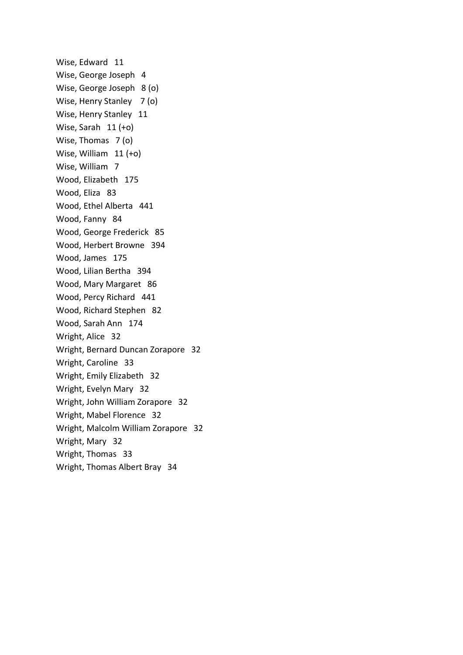Wise, Edward 11 Wise, George Joseph 4 Wise, George Joseph 8 (o) Wise, Henry Stanley 7 (o) Wise, Henry Stanley 11 Wise, Sarah 11 (+o) Wise, Thomas 7 (o) Wise, William 11 (+o) Wise, William 7 Wood, Elizabeth 175 Wood, Eliza 83 Wood, Ethel Alberta 441 Wood, Fanny 84 Wood, George Frederick 85 Wood, Herbert Browne 394 Wood, James 175 Wood, Lilian Bertha 394 Wood, Mary Margaret 86 Wood, Percy Richard 441 Wood, Richard Stephen 82 Wood, Sarah Ann 174 Wright, Alice 32 Wright, Bernard Duncan Zorapore 32 Wright, Caroline 33 Wright, Emily Elizabeth 32 Wright, Evelyn Mary 32 Wright, John William Zorapore 32 Wright, Mabel Florence 32 Wright, Malcolm William Zorapore 32 Wright, Mary 32 Wright, Thomas 33 Wright, Thomas Albert Bray 34